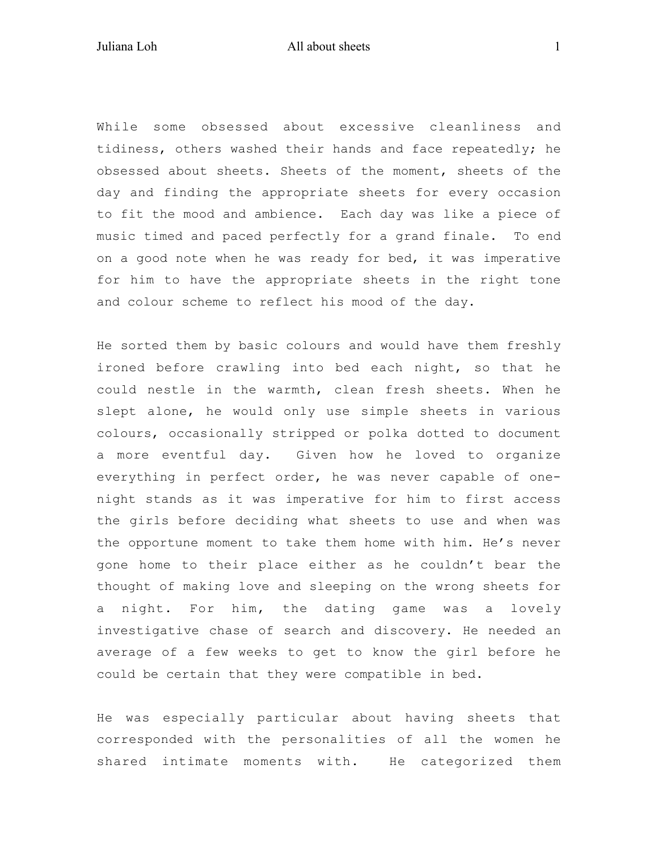While some obsessed about excessive cleanliness and tidiness, others washed their hands and face repeatedly; he obsessed about sheets. Sheets of the moment, sheets of the day and finding the appropriate sheets for every occasion to fit the mood and ambience. Each day was like a piece of music timed and paced perfectly for a grand finale. To end on a good note when he was ready for bed, it was imperative for him to have the appropriate sheets in the right tone and colour scheme to reflect his mood of the day.

He sorted them by basic colours and would have them freshly ironed before crawling into bed each night, so that he could nestle in the warmth, clean fresh sheets. When he slept alone, he would only use simple sheets in various colours, occasionally stripped or polka dotted to document a more eventful day. Given how he loved to organize everything in perfect order, he was never capable of onenight stands as it was imperative for him to first access the girls before deciding what sheets to use and when was the opportune moment to take them home with him. He's never gone home to their place either as he couldn't bear the thought of making love and sleeping on the wrong sheets for a night. For him, the dating game was a lovely investigative chase of search and discovery. He needed an average of a few weeks to get to know the girl before he could be certain that they were compatible in bed.

He was especially particular about having sheets that corresponded with the personalities of all the women he shared intimate moments with. He categorized them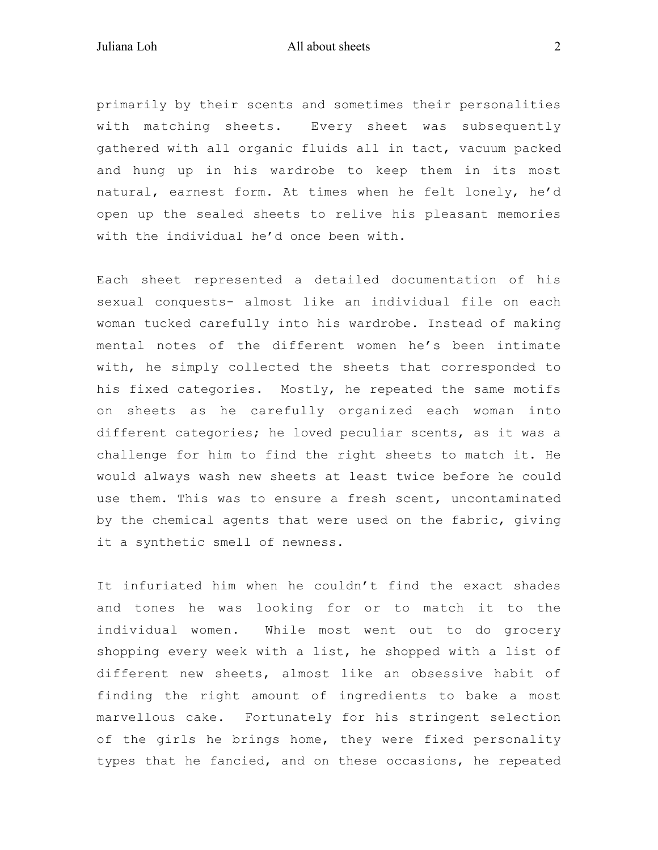## Juliana Loh All about sheets 2

primarily by their scents and sometimes their personalities with matching sheets. Every sheet was subsequently gathered with all organic fluids all in tact, vacuum packed and hung up in his wardrobe to keep them in its most natural, earnest form. At times when he felt lonely, he'd open up the sealed sheets to relive his pleasant memories with the individual he'd once been with.

Each sheet represented a detailed documentation of his sexual conquests- almost like an individual file on each woman tucked carefully into his wardrobe. Instead of making mental notes of the different women he's been intimate with, he simply collected the sheets that corresponded to his fixed categories. Mostly, he repeated the same motifs on sheets as he carefully organized each woman into different categories; he loved peculiar scents, as it was a challenge for him to find the right sheets to match it. He would always wash new sheets at least twice before he could use them. This was to ensure a fresh scent, uncontaminated by the chemical agents that were used on the fabric, giving it a synthetic smell of newness.

It infuriated him when he couldn't find the exact shades and tones he was looking for or to match it to the individual women. While most went out to do grocery shopping every week with a list, he shopped with a list of different new sheets, almost like an obsessive habit of finding the right amount of ingredients to bake a most marvellous cake. Fortunately for his stringent selection of the girls he brings home, they were fixed personality types that he fancied, and on these occasions, he repeated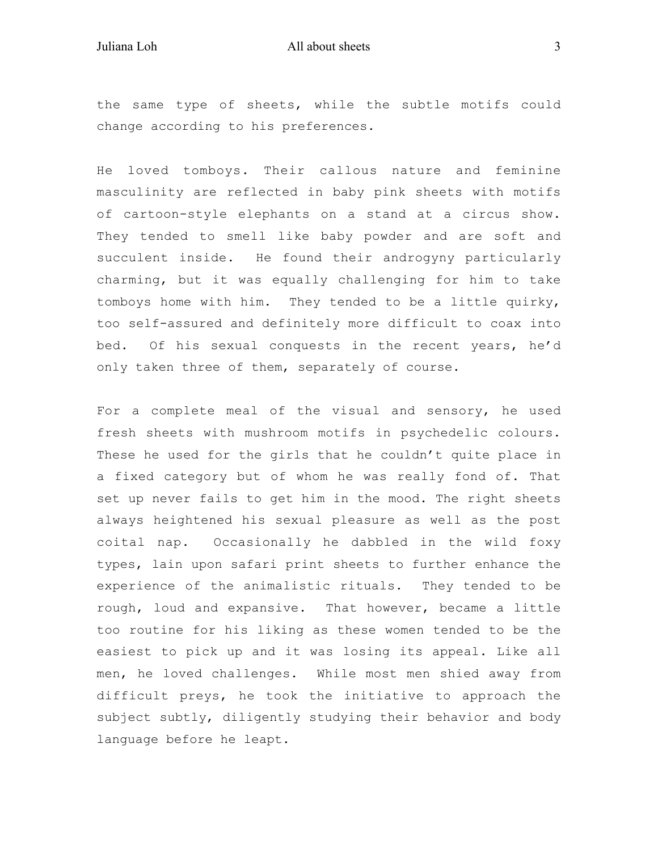the same type of sheets, while the subtle motifs could change according to his preferences.

He loved tomboys. Their callous nature and feminine masculinity are reflected in baby pink sheets with motifs of cartoon-style elephants on a stand at a circus show. They tended to smell like baby powder and are soft and succulent inside. He found their androgyny particularly charming, but it was equally challenging for him to take tomboys home with him. They tended to be a little quirky, too self-assured and definitely more difficult to coax into bed. Of his sexual conquests in the recent years, he'd only taken three of them, separately of course.

For a complete meal of the visual and sensory, he used fresh sheets with mushroom motifs in psychedelic colours. These he used for the girls that he couldn't quite place in a fixed category but of whom he was really fond of. That set up never fails to get him in the mood. The right sheets always heightened his sexual pleasure as well as the post coital nap. Occasionally he dabbled in the wild foxy types, lain upon safari print sheets to further enhance the experience of the animalistic rituals. They tended to be rough, loud and expansive. That however, became a little too routine for his liking as these women tended to be the easiest to pick up and it was losing its appeal. Like all men, he loved challenges. While most men shied away from difficult preys, he took the initiative to approach the subject subtly, diligently studying their behavior and body language before he leapt.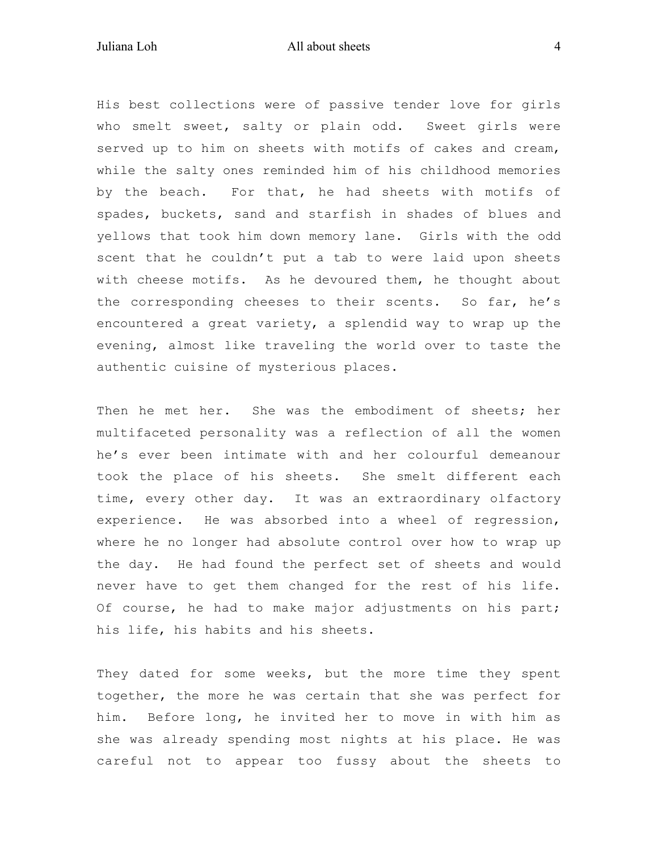## Juliana Loh All about sheets 4

His best collections were of passive tender love for girls who smelt sweet, salty or plain odd. Sweet girls were served up to him on sheets with motifs of cakes and cream, while the salty ones reminded him of his childhood memories by the beach. For that, he had sheets with motifs of spades, buckets, sand and starfish in shades of blues and yellows that took him down memory lane. Girls with the odd scent that he couldn't put a tab to were laid upon sheets with cheese motifs. As he devoured them, he thought about the corresponding cheeses to their scents. So far, he's encountered a great variety, a splendid way to wrap up the evening, almost like traveling the world over to taste the authentic cuisine of mysterious places.

Then he met her. She was the embodiment of sheets; her multifaceted personality was a reflection of all the women he's ever been intimate with and her colourful demeanour took the place of his sheets. She smelt different each time, every other day. It was an extraordinary olfactory experience. He was absorbed into a wheel of regression, where he no longer had absolute control over how to wrap up the day. He had found the perfect set of sheets and would never have to get them changed for the rest of his life. Of course, he had to make major adjustments on his part; his life, his habits and his sheets.

They dated for some weeks, but the more time they spent together, the more he was certain that she was perfect for him. Before long, he invited her to move in with him as she was already spending most nights at his place. He was careful not to appear too fussy about the sheets to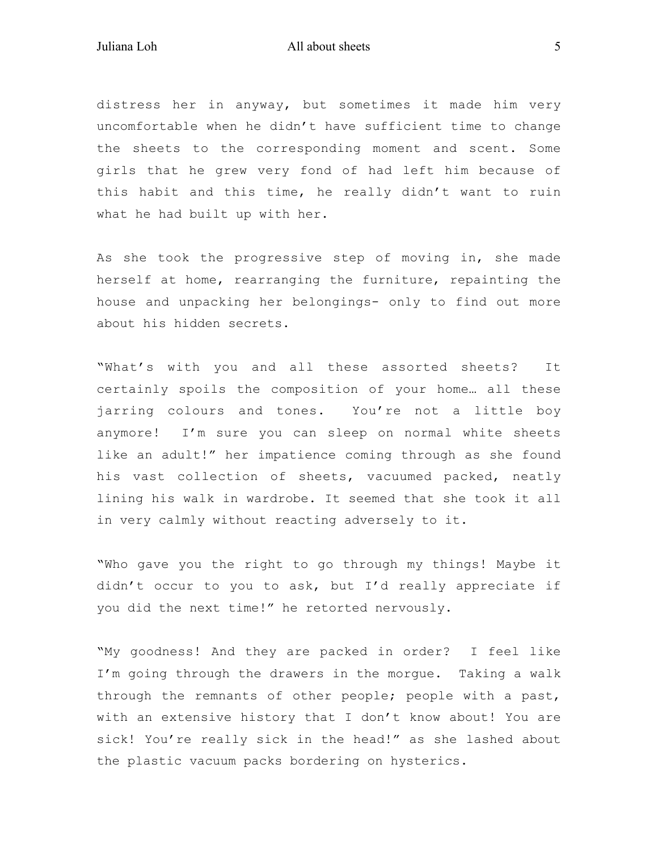distress her in anyway, but sometimes it made him very uncomfortable when he didn't have sufficient time to change the sheets to the corresponding moment and scent. Some girls that he grew very fond of had left him because of this habit and this time, he really didn't want to ruin what he had built up with her.

As she took the progressive step of moving in, she made herself at home, rearranging the furniture, repainting the house and unpacking her belongings- only to find out more about his hidden secrets.

"What's with you and all these assorted sheets? It certainly spoils the composition of your home… all these jarring colours and tones. You're not a little boy anymore! I'm sure you can sleep on normal white sheets like an adult!" her impatience coming through as she found his vast collection of sheets, vacuumed packed, neatly lining his walk in wardrobe. It seemed that she took it all in very calmly without reacting adversely to it.

"Who gave you the right to go through my things! Maybe it didn't occur to you to ask, but I'd really appreciate if you did the next time!" he retorted nervously.

"My goodness! And they are packed in order? I feel like I'm going through the drawers in the morgue. Taking a walk through the remnants of other people; people with a past, with an extensive history that I don't know about! You are sick! You're really sick in the head!" as she lashed about the plastic vacuum packs bordering on hysterics.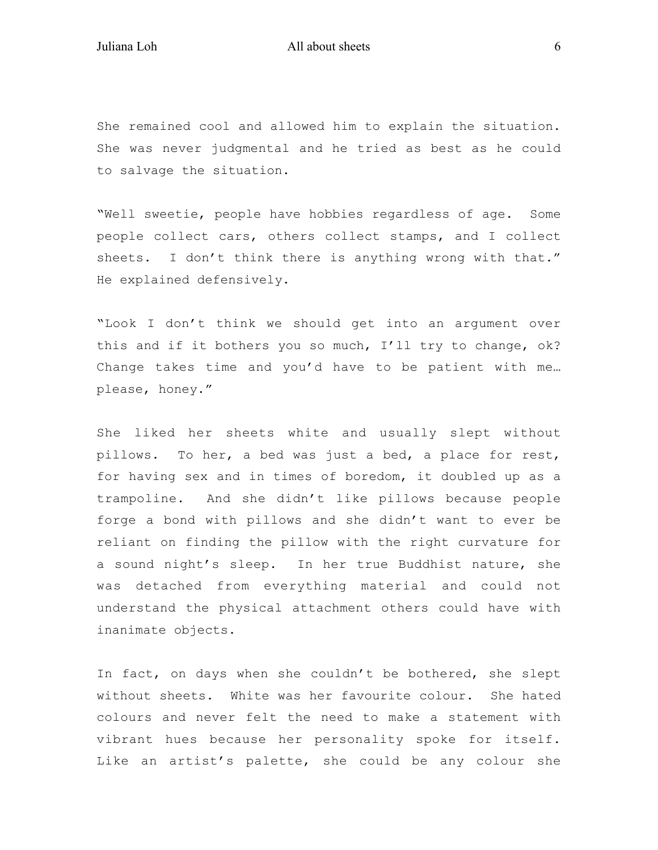Juliana Loh All about sheets 6

She remained cool and allowed him to explain the situation. She was never judgmental and he tried as best as he could to salvage the situation.

"Well sweetie, people have hobbies regardless of age. Some people collect cars, others collect stamps, and I collect sheets. I don't think there is anything wrong with that." He explained defensively.

"Look I don't think we should get into an argument over this and if it bothers you so much, I'll try to change, ok? Change takes time and you'd have to be patient with me… please, honey."

She liked her sheets white and usually slept without pillows. To her, a bed was just a bed, a place for rest, for having sex and in times of boredom, it doubled up as a trampoline. And she didn't like pillows because people forge a bond with pillows and she didn't want to ever be reliant on finding the pillow with the right curvature for a sound night's sleep. In her true Buddhist nature, she was detached from everything material and could not understand the physical attachment others could have with inanimate objects.

In fact, on days when she couldn't be bothered, she slept without sheets. White was her favourite colour. She hated colours and never felt the need to make a statement with vibrant hues because her personality spoke for itself. Like an artist's palette, she could be any colour she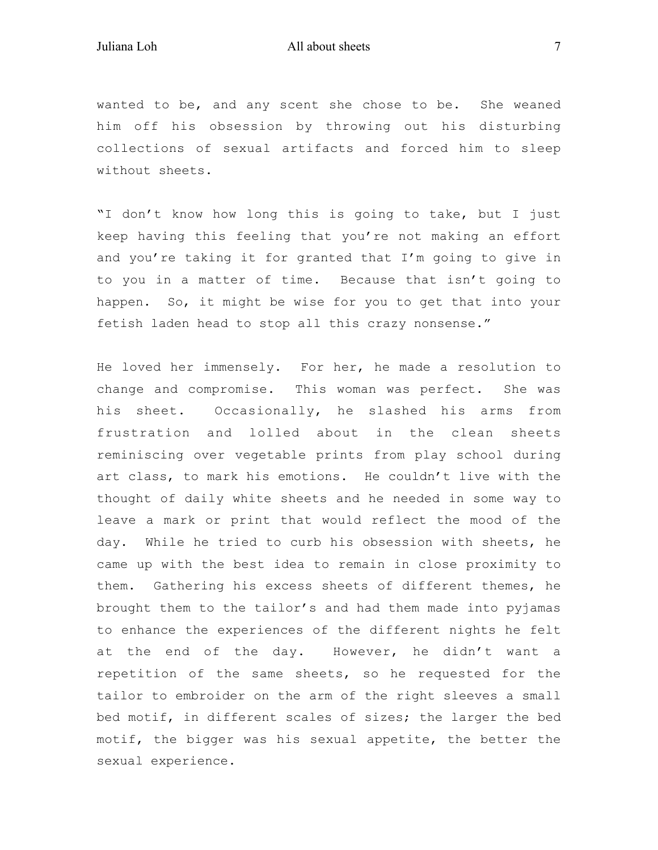wanted to be, and any scent she chose to be. She weaned him off his obsession by throwing out his disturbing collections of sexual artifacts and forced him to sleep without sheets.

"I don't know how long this is going to take, but I just keep having this feeling that you're not making an effort and you're taking it for granted that I'm going to give in to you in a matter of time. Because that isn't going to happen. So, it might be wise for you to get that into your fetish laden head to stop all this crazy nonsense."

He loved her immensely. For her, he made a resolution to change and compromise. This woman was perfect. She was his sheet. Occasionally, he slashed his arms from frustration and lolled about in the clean sheets reminiscing over vegetable prints from play school during art class, to mark his emotions. He couldn't live with the thought of daily white sheets and he needed in some way to leave a mark or print that would reflect the mood of the day. While he tried to curb his obsession with sheets, he came up with the best idea to remain in close proximity to them. Gathering his excess sheets of different themes, he brought them to the tailor's and had them made into pyjamas to enhance the experiences of the different nights he felt at the end of the day. However, he didn't want a repetition of the same sheets, so he requested for the tailor to embroider on the arm of the right sleeves a small bed motif, in different scales of sizes; the larger the bed motif, the bigger was his sexual appetite, the better the sexual experience.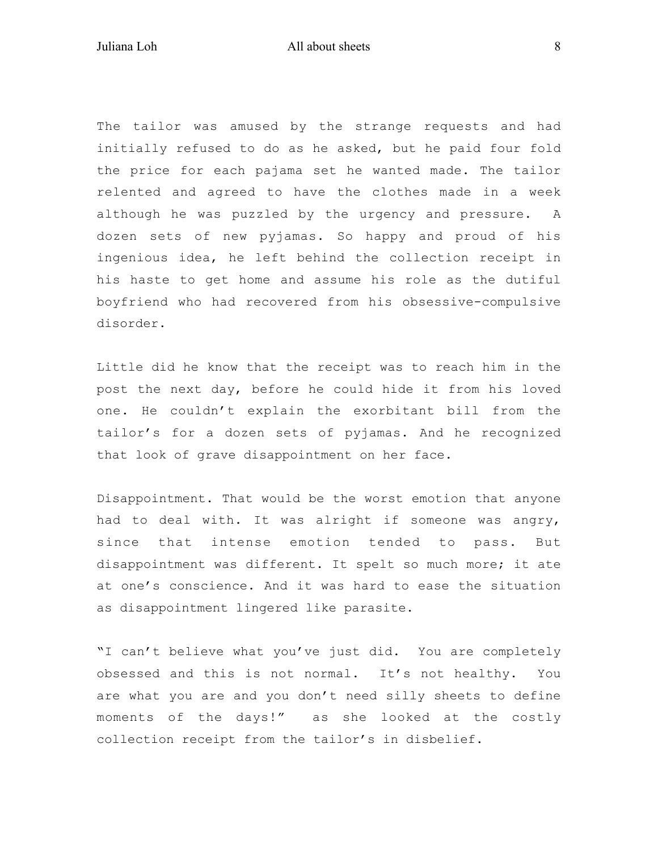The tailor was amused by the strange requests and had initially refused to do as he asked, but he paid four fold the price for each pajama set he wanted made. The tailor relented and agreed to have the clothes made in a week although he was puzzled by the urgency and pressure. A dozen sets of new pyjamas. So happy and proud of his ingenious idea, he left behind the collection receipt in his haste to get home and assume his role as the dutiful boyfriend who had recovered from his obsessive-compulsive disorder.

Little did he know that the receipt was to reach him in the post the next day, before he could hide it from his loved one. He couldn't explain the exorbitant bill from the tailor's for a dozen sets of pyjamas. And he recognized that look of grave disappointment on her face.

Disappointment. That would be the worst emotion that anyone had to deal with. It was alright if someone was angry, since that intense emotion tended to pass. But disappointment was different. It spelt so much more; it ate at one's conscience. And it was hard to ease the situation as disappointment lingered like parasite.

"I can't believe what you've just did. You are completely obsessed and this is not normal. It's not healthy. You are what you are and you don't need silly sheets to define moments of the days!" as she looked at the costly collection receipt from the tailor's in disbelief.